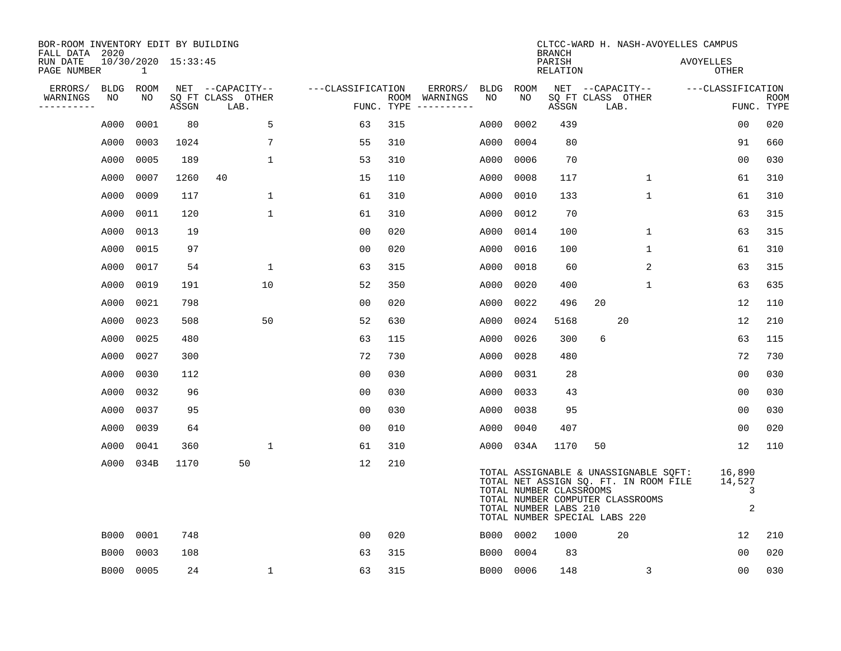| BOR-ROOM INVENTORY EDIT BY BUILDING<br>FALL DATA 2020 |                   |                   |                     |                                               |                   | CLTCC-WARD H. NASH-AVOYELLES CAMPUS<br><b>BRANCH</b> |                                    |                   |                   |                                                  |                                               |                                                                                                                    |                   |                            |             |
|-------------------------------------------------------|-------------------|-------------------|---------------------|-----------------------------------------------|-------------------|------------------------------------------------------|------------------------------------|-------------------|-------------------|--------------------------------------------------|-----------------------------------------------|--------------------------------------------------------------------------------------------------------------------|-------------------|----------------------------|-------------|
| RUN DATE<br>PAGE NUMBER                               |                   | $\mathbf{1}$      | 10/30/2020 15:33:45 |                                               |                   |                                                      |                                    |                   |                   | PARISH<br><b>RELATION</b>                        |                                               |                                                                                                                    | <b>AVOYELLES</b>  | OTHER                      |             |
| ERRORS/<br>WARNINGS<br>.                              | <b>BLDG</b><br>NO | <b>ROOM</b><br>NO | ASSGN               | NET --CAPACITY--<br>SQ FT CLASS OTHER<br>LAB. | ---CLASSIFICATION | ROOM<br>FUNC. TYPE                                   | ERRORS/<br>WARNINGS<br>----------- | <b>BLDG</b><br>NO | <b>ROOM</b><br>NO | ASSGN                                            | NET --CAPACITY--<br>SQ FT CLASS OTHER<br>LAB. |                                                                                                                    | ---CLASSIFICATION | FUNC. TYPE                 | <b>ROOM</b> |
|                                                       |                   | 0001              | 80                  | 5                                             | 63                | 315                                                  |                                    |                   | 0002              | 439                                              |                                               |                                                                                                                    |                   | 0 <sub>0</sub>             | 020         |
|                                                       | A000              | 0003              | 1024                | 7                                             | 55                | 310                                                  |                                    | A000<br>A000      | 0004              | 80                                               |                                               |                                                                                                                    |                   | 91                         | 660         |
|                                                       | A000              |                   |                     |                                               |                   |                                                      |                                    |                   |                   |                                                  |                                               |                                                                                                                    |                   |                            |             |
|                                                       | A000              | 0005<br>0007      | 189<br>1260         | $\mathbf 1$<br>40                             | 53<br>15          | 310<br>110                                           |                                    | A000<br>A000      | 0006<br>0008      | 70<br>117                                        |                                               | $\mathbf{1}$                                                                                                       |                   | 0 <sub>0</sub><br>61       | 030<br>310  |
|                                                       | A000              |                   |                     |                                               |                   | 310                                                  |                                    |                   |                   |                                                  |                                               | $\mathbf{1}$                                                                                                       |                   |                            |             |
|                                                       | A000              | 0009              | 117                 | $\mathbf 1$                                   | 61                |                                                      |                                    | A000              | 0010              | 133                                              |                                               |                                                                                                                    |                   | 61                         | 310         |
|                                                       | A000              | 0011              | 120                 | $\mathbf{1}$                                  | 61                | 310                                                  |                                    | A000              | 0012              | 70                                               |                                               |                                                                                                                    |                   | 63                         | 315         |
|                                                       | A000              | 0013              | 19                  |                                               | 0 <sub>0</sub>    | 020                                                  |                                    | A000              | 0014              | 100                                              |                                               | $\mathbf 1$                                                                                                        |                   | 63                         | 315         |
|                                                       | A000              | 0015              | 97                  |                                               | 0 <sub>0</sub>    | 020                                                  |                                    | A000              | 0016              | 100                                              |                                               | $\mathbf{1}$                                                                                                       |                   | 61                         | 310         |
|                                                       | A000              | 0017              | 54                  | $\mathbf 1$                                   | 63                | 315                                                  |                                    | A000              | 0018              | 60                                               |                                               | 2                                                                                                                  |                   | 63                         | 315         |
|                                                       | A000              | 0019              | 191                 | 10                                            | 52                | 350                                                  |                                    | A000              | 0020              | 400                                              |                                               | $\mathbf 1$                                                                                                        |                   | 63                         | 635         |
|                                                       | A000              | 0021              | 798                 |                                               | 0 <sub>0</sub>    | 020                                                  |                                    | A000              | 0022              | 496                                              | 20                                            |                                                                                                                    |                   | 12                         | 110         |
|                                                       | A000              | 0023              | 508                 | 50                                            | 52                | 630                                                  |                                    | A000              | 0024              | 5168                                             |                                               | 20                                                                                                                 |                   | 12                         | 210         |
|                                                       | A000              | 0025              | 480                 |                                               | 63                | 115                                                  |                                    | A000              | 0026              | 300                                              | 6                                             |                                                                                                                    |                   | 63                         | 115         |
|                                                       | A000              | 0027              | 300                 |                                               | 72                | 730                                                  |                                    | A000              | 0028              | 480                                              |                                               |                                                                                                                    |                   | 72                         | 730         |
|                                                       | A000              | 0030              | 112                 |                                               | 0 <sub>0</sub>    | 030                                                  |                                    | A000              | 0031              | 28                                               |                                               |                                                                                                                    |                   | 0 <sub>0</sub>             | 030         |
|                                                       | A000              | 0032              | 96                  |                                               | 0 <sub>0</sub>    | 030                                                  |                                    | A000              | 0033              | 43                                               |                                               |                                                                                                                    |                   | 00                         | 030         |
|                                                       | A000              | 0037              | 95                  |                                               | 0 <sub>0</sub>    | 030                                                  |                                    | A000              | 0038              | 95                                               |                                               |                                                                                                                    |                   | 0 <sub>0</sub>             | 030         |
|                                                       | A000              | 0039              | 64                  |                                               | 0 <sub>0</sub>    | 010                                                  |                                    | A000              | 0040              | 407                                              |                                               |                                                                                                                    |                   | 0 <sub>0</sub>             | 020         |
|                                                       | A000              | 0041              | 360                 | $\mathbf 1$                                   | 61                | 310                                                  |                                    | A000              | 034A              | 1170                                             | 50                                            |                                                                                                                    |                   | 12                         | 110         |
|                                                       | A000              | 034B              | 1170                | 50                                            | 12                | 210                                                  |                                    |                   |                   | TOTAL NUMBER CLASSROOMS<br>TOTAL NUMBER LABS 210 | TOTAL NUMBER SPECIAL LABS 220                 | TOTAL ASSIGNABLE & UNASSIGNABLE SQFT:<br>TOTAL NET ASSIGN SQ. FT. IN ROOM FILE<br>TOTAL NUMBER COMPUTER CLASSROOMS |                   | 16,890<br>14,527<br>3<br>2 |             |
|                                                       | B000              | 0001              | 748                 |                                               | 00                | 020                                                  |                                    | B000              | 0002              | 1000                                             |                                               | 20                                                                                                                 |                   | 12                         | 210         |
|                                                       | <b>B000</b>       | 0003              | 108                 |                                               | 63                | 315                                                  |                                    | B000              | 0004              | 83                                               |                                               |                                                                                                                    |                   | 0 <sub>0</sub>             | 020         |
|                                                       | B000              | 0005              | 24                  | $\mathbf{1}$                                  | 63                | 315                                                  |                                    |                   | B000 0006         | 148                                              |                                               | 3                                                                                                                  |                   | 00                         | 030         |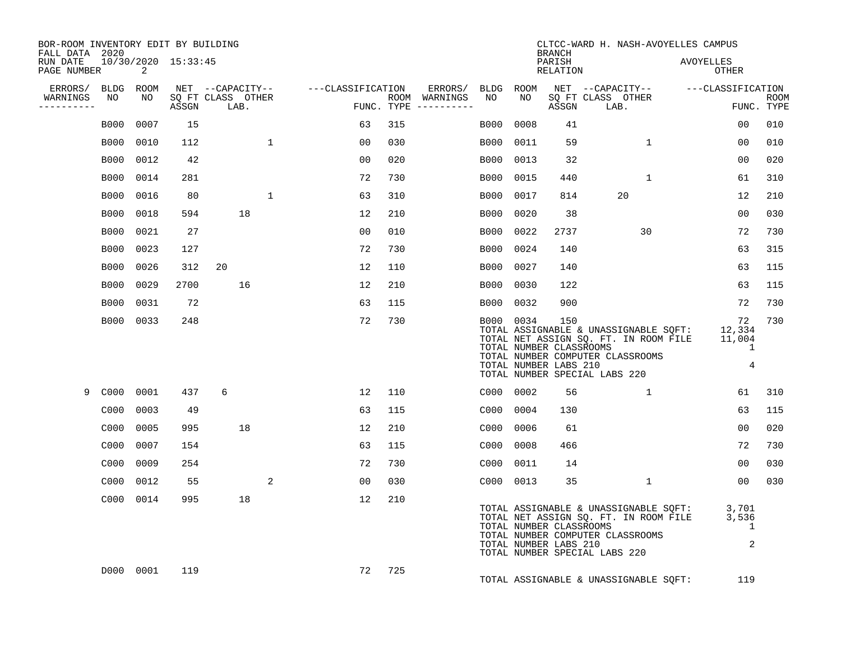| BOR-ROOM INVENTORY EDIT BY BUILDING<br>FALL DATA 2020 |             |            |                     |                                       |             |                   |            |                     |                   |                                                  | <b>BRANCH</b>             | CLTCC-WARD H. NASH-AVOYELLES CAMPUS                                                                                                                 |                                                          |             |
|-------------------------------------------------------|-------------|------------|---------------------|---------------------------------------|-------------|-------------------|------------|---------------------|-------------------|--------------------------------------------------|---------------------------|-----------------------------------------------------------------------------------------------------------------------------------------------------|----------------------------------------------------------|-------------|
| RUN DATE<br>PAGE NUMBER                               |             | 2          | 10/30/2020 15:33:45 |                                       |             |                   |            |                     |                   |                                                  | PARISH<br><b>RELATION</b> |                                                                                                                                                     | <b>AVOYELLES</b><br>OTHER                                |             |
| ERRORS/ BLDG<br>WARNINGS                              | NO          | ROOM<br>NO |                     | NET --CAPACITY--<br>SQ FT CLASS OTHER |             | ---CLASSIFICATION | ROOM       | ERRORS/<br>WARNINGS | <b>BLDG</b><br>NO | ROOM<br>N <sub>O</sub>                           |                           | NET --CAPACITY--<br>SQ FT CLASS OTHER                                                                                                               | ---CLASSIFICATION                                        | <b>ROOM</b> |
| . _ _ _ _ _ _ _ _ _                                   |             |            | ASSGN               | LAB.                                  |             |                   | FUNC. TYPE | -----------         |                   |                                                  | ASSGN                     | LAB.                                                                                                                                                |                                                          | FUNC. TYPE  |
|                                                       | B000        | 0007       | 15                  |                                       |             | 63                | 315        |                     | <b>B000</b>       | 0008                                             | 41                        |                                                                                                                                                     | 0 <sub>0</sub>                                           | 010         |
|                                                       | B000        | 0010       | 112                 |                                       | 1           | 00                | 030        |                     | B000              | 0011                                             | 59                        | 1                                                                                                                                                   | 00                                                       | 010         |
|                                                       | <b>B000</b> | 0012       | 42                  |                                       |             | 0 <sub>0</sub>    | 020        |                     | <b>B000</b>       | 0013                                             | 32                        |                                                                                                                                                     | 0 <sub>0</sub>                                           | 020         |
|                                                       | <b>B000</b> | 0014       | 281                 |                                       |             | 72                | 730        |                     | <b>B000</b>       | 0015                                             | 440                       | 1                                                                                                                                                   | 61                                                       | 310         |
|                                                       | <b>B000</b> | 0016       | 80                  |                                       | $\mathbf 1$ | 63                | 310        |                     | <b>B000</b>       | 0017                                             | 814                       | 20                                                                                                                                                  | 12                                                       | 210         |
|                                                       | <b>B000</b> | 0018       | 594                 | 18                                    |             | 12                | 210        |                     | <b>B000</b>       | 0020                                             | 38                        |                                                                                                                                                     | 00                                                       | 030         |
|                                                       | <b>B000</b> | 0021       | 27                  |                                       |             | 0 <sub>0</sub>    | 010        |                     | B000              | 0022                                             | 2737                      | 30                                                                                                                                                  | 72                                                       | 730         |
|                                                       | <b>B000</b> | 0023       | 127                 |                                       |             | 72                | 730        |                     | B000              | 0024                                             | 140                       |                                                                                                                                                     | 63                                                       | 315         |
|                                                       | B000        | 0026       | 312                 | 20                                    |             | 12                | 110        |                     | <b>B000</b>       | 0027                                             | 140                       |                                                                                                                                                     | 63                                                       | 115         |
|                                                       | <b>B000</b> | 0029       | 2700                | 16                                    |             | 12                | 210        |                     | <b>B000</b>       | 0030                                             | 122                       |                                                                                                                                                     | 63                                                       | 115         |
|                                                       | <b>B000</b> | 0031       | 72                  |                                       |             | 63                | 115        |                     | B000              | 0032                                             | 900                       |                                                                                                                                                     | 72                                                       | 730         |
|                                                       | B000        | 0033       | 248                 |                                       |             | 72                | 730        |                     | B000 0034         | TOTAL NUMBER CLASSROOMS<br>TOTAL NUMBER LABS 210 | 150                       | TOTAL ASSIGNABLE & UNASSIGNABLE SQFT:<br>TOTAL NET ASSIGN SQ. FT. IN ROOM FILE<br>TOTAL NUMBER COMPUTER CLASSROOMS<br>TOTAL NUMBER SPECIAL LABS 220 | 72<br>12,334<br>11,004<br>$\mathbf{1}$<br>$\overline{4}$ | 730         |
| 9                                                     | C000        | 0001       | 437                 | 6                                     |             | 12                | 110        |                     | C000 0002         |                                                  | 56                        | $\mathbf{1}$                                                                                                                                        | 61                                                       | 310         |
|                                                       | C000        | 0003       | 49                  |                                       |             | 63                | 115        |                     | C000              | 0004                                             | 130                       |                                                                                                                                                     | 63                                                       | 115         |
|                                                       | C000        | 0005       | 995                 | 18                                    |             | 12                | 210        |                     | C000              | 0006                                             | 61                        |                                                                                                                                                     | 00                                                       | 020         |
|                                                       | C000        | 0007       | 154                 |                                       |             | 63                | 115        |                     | C000              | 0008                                             | 466                       |                                                                                                                                                     | 72                                                       | 730         |
|                                                       | C000        | 0009       | 254                 |                                       |             | 72                | 730        |                     | C000              | 0011                                             | 14                        |                                                                                                                                                     | 00                                                       | 030         |
|                                                       | C000        | 0012       | 55                  |                                       | 2           | 0 <sub>0</sub>    | 030        |                     | C000 0013         |                                                  | 35                        | $\mathbf{1}$                                                                                                                                        | 00                                                       | 030         |
|                                                       |             | C000 0014  | 995                 | 18                                    |             | 12                | 210        |                     |                   | TOTAL NUMBER CLASSROOMS<br>TOTAL NUMBER LABS 210 |                           | TOTAL ASSIGNABLE & UNASSIGNABLE SQFT:<br>TOTAL NET ASSIGN SQ. FT. IN ROOM FILE<br>TOTAL NUMBER COMPUTER CLASSROOMS<br>TOTAL NUMBER SPECIAL LABS 220 | 3,701<br>3,536<br>1<br>2                                 |             |
|                                                       |             | D000 0001  | 119                 |                                       |             | 72                | 725        |                     |                   |                                                  |                           | TOTAL ASSIGNABLE & UNASSIGNABLE SQFT:                                                                                                               | 119                                                      |             |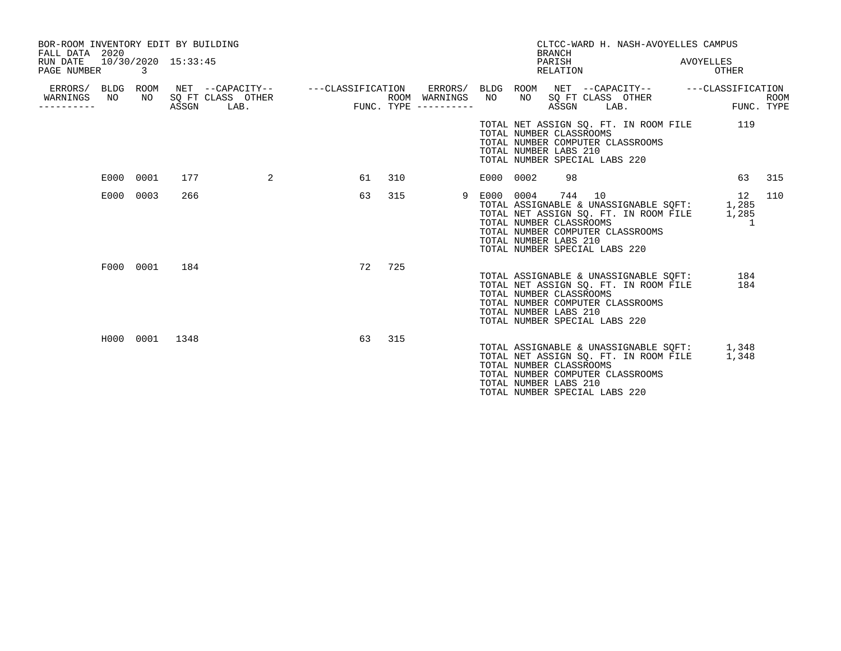| BOR-ROOM INVENTORY EDIT BY BUILDING<br>FALL DATA 2020<br>RUN DATE<br>PAGE NUMBER | 10/30/2020 15:33:45<br>3 |       |                                                                 |    |     |                                                              |           |    | <b>BRANCH</b><br>PARISH<br>RELATION                                                                                                | CLTCC-WARD H. NASH-AVOYELLES CAMPUS                                            | AVOYELLES<br>OTHER   |                           |
|----------------------------------------------------------------------------------|--------------------------|-------|-----------------------------------------------------------------|----|-----|--------------------------------------------------------------|-----------|----|------------------------------------------------------------------------------------------------------------------------------------|--------------------------------------------------------------------------------|----------------------|---------------------------|
| ERRORS/ BLDG<br>WARNINGS<br>NO.<br>---------                                     | ROOM<br>NO               | ASSGN | NET --CAPACITY-- ---CLASSIFICATION<br>SO FT CLASS OTHER<br>LAB. |    |     | ERRORS/ BLDG ROOM<br>ROOM WARNINGS NO<br>FUNC. TYPE $------$ |           | NO | SO FT CLASS OTHER<br>ASSGN<br>LAB.                                                                                                 |                                                                                |                      | <b>ROOM</b><br>FUNC. TYPE |
|                                                                                  |                          |       |                                                                 |    |     |                                                              |           |    | TOTAL NUMBER CLASSROOMS<br>TOTAL NUMBER COMPUTER CLASSROOMS<br>TOTAL NUMBER LABS 210<br>TOTAL NUMBER SPECIAL LABS 220              | TOTAL NET ASSIGN SQ. FT. IN ROOM FILE                                          | 119                  |                           |
|                                                                                  | E000 0001                | 177   | 2                                                               | 61 | 310 |                                                              | E000 0002 |    | 98                                                                                                                                 |                                                                                | 63                   | 315                       |
|                                                                                  | E000 0003                | 266   |                                                                 | 63 | 315 | 9                                                            | E000 0004 |    | 744<br>10<br>TOTAL NUMBER CLASSROOMS<br>TOTAL NUMBER COMPUTER CLASSROOMS<br>TOTAL NUMBER LABS 210<br>TOTAL NUMBER SPECIAL LABS 220 | TOTAL ASSIGNABLE & UNASSIGNABLE SQFT:<br>TOTAL NET ASSIGN SQ. FT. IN ROOM FILE | 12<br>1,285<br>1,285 | 110                       |
|                                                                                  | F000 0001                | 184   |                                                                 | 72 | 725 |                                                              |           |    | TOTAL NUMBER CLASSROOMS<br>TOTAL NUMBER COMPUTER CLASSROOMS<br>TOTAL NUMBER LABS 210<br>TOTAL NUMBER SPECIAL LABS 220              | TOTAL ASSIGNABLE & UNASSIGNABLE SOFT:<br>TOTAL NET ASSIGN SO. FT. IN ROOM FILE | 184<br>184           |                           |
|                                                                                  | H000 0001                | 1348  |                                                                 | 63 | 315 |                                                              |           |    | TOTAL NUMBER CLASSROOMS<br>TOTAL NUMBER COMPUTER CLASSROOMS<br>TOTAL NUMBER LABS 210<br>TOTAL NUMBER SPECIAL LABS 220              | TOTAL ASSIGNABLE & UNASSIGNABLE SOFT:<br>TOTAL NET ASSIGN SQ. FT. IN ROOM FILE | 1,348<br>1,348       |                           |